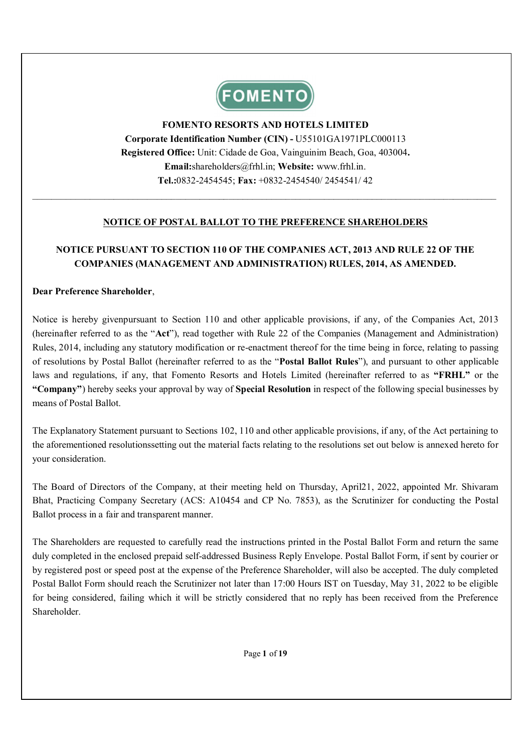

# **FOMENTO RESORTS AND HOTELS LIMITED Corporate Identification Number (CIN) -** U55101GA1971PLC000113 **Registered Office:** Unit: Cidade de Goa, Vainguinim Beach, Goa, 403004**. Email:**shareholders@frhl.in; **Website:** www.frhl.in. **Tel.:**0832-2454545; **Fax:** +0832-2454540/ 2454541/ 42

## **NOTICE OF POSTAL BALLOT TO THE PREFERENCE SHAREHOLDERS**

 $\_$  ,  $\_$  ,  $\_$  ,  $\_$  ,  $\_$  ,  $\_$  ,  $\_$  ,  $\_$  ,  $\_$  ,  $\_$  ,  $\_$  ,  $\_$  ,  $\_$  ,  $\_$  ,  $\_$  ,  $\_$  ,  $\_$  ,  $\_$  ,  $\_$  ,  $\_$  ,  $\_$  ,  $\_$  ,  $\_$  ,  $\_$  ,  $\_$  ,  $\_$  ,  $\_$  ,  $\_$  ,  $\_$  ,  $\_$  ,  $\_$  ,  $\_$  ,  $\_$  ,  $\_$  ,  $\_$  ,  $\_$  ,  $\_$  ,

# **NOTICE PURSUANT TO SECTION 110 OF THE COMPANIES ACT, 2013 AND RULE 22 OF THE COMPANIES (MANAGEMENT AND ADMINISTRATION) RULES, 2014, AS AMENDED.**

#### **Dear Preference Shareholder**,

Notice is hereby givenpursuant to Section 110 and other applicable provisions, if any, of the Companies Act, 2013 (hereinafter referred to as the "**Act**"), read together with Rule 22 of the Companies (Management and Administration) Rules, 2014, including any statutory modification or re-enactment thereof for the time being in force, relating to passing of resolutions by Postal Ballot (hereinafter referred to as the "**Postal Ballot Rules**"), and pursuant to other applicable laws and regulations, if any, that Fomento Resorts and Hotels Limited (hereinafter referred to as "**FRHL**" or the **"Company"**) hereby seeks your approval by way of **Special Resolution** in respect of the following special businesses by means of Postal Ballot.

The Explanatory Statement pursuant to Sections 102, 110 and other applicable provisions, if any, of the Act pertaining to the aforementioned resolutionssetting out the material facts relating to the resolutions set out below is annexed hereto for your consideration.

The Board of Directors of the Company, at their meeting held on Thursday, April21, 2022, appointed Mr. Shivaram Bhat, Practicing Company Secretary (ACS: A10454 and CP No. 7853), as the Scrutinizer for conducting the Postal Ballot process in a fair and transparent manner.

The Shareholders are requested to carefully read the instructions printed in the Postal Ballot Form and return the same duly completed in the enclosed prepaid self-addressed Business Reply Envelope. Postal Ballot Form, if sent by courier or by registered post or speed post at the expense of the Preference Shareholder, will also be accepted. The duly completed Postal Ballot Form should reach the Scrutinizer not later than 17:00 Hours IST on Tuesday, May 31, 2022 to be eligible for being considered, failing which it will be strictly considered that no reply has been received from the Preference Shareholder.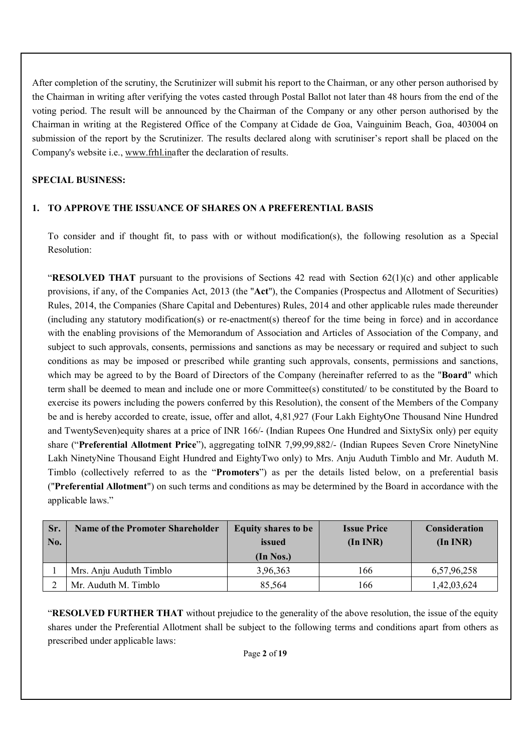After completion of the scrutiny, the Scrutinizer will submit his report to the Chairman, or any other person authorised by the Chairman in writing after verifying the votes casted through Postal Ballot not later than 48 hours from the end of the voting period. The result will be announced by the Chairman of the Company or any other person authorised by the Chairman in writing at the Registered Office of the Company at Cidade de Goa, Vainguinim Beach, Goa, 403004 on submission of the report by the Scrutinizer. The results declared along with scrutiniser's report shall be placed on the Company's website i.e., www.frhl.inafter the declaration of results.

## **SPECIAL BUSINESS:**

### **1. TO APPROVE THE ISSUANCE OF SHARES ON A PREFERENTIAL BASIS**

To consider and if thought fit, to pass with or without modification(s), the following resolution as a Special Resolution:

"**RESOLVED THAT** pursuant to the provisions of Sections 42 read with Section 62(1)(c) and other applicable provisions, if any, of the Companies Act, 2013 (the "**Act**"), the Companies (Prospectus and Allotment of Securities) Rules, 2014, the Companies (Share Capital and Debentures) Rules, 2014 and other applicable rules made thereunder (including any statutory modification(s) or re-enactment(s) thereof for the time being in force) and in accordance with the enabling provisions of the Memorandum of Association and Articles of Association of the Company, and subject to such approvals, consents, permissions and sanctions as may be necessary or required and subject to such conditions as may be imposed or prescribed while granting such approvals, consents, permissions and sanctions, which may be agreed to by the Board of Directors of the Company (hereinafter referred to as the "**Board**" which term shall be deemed to mean and include one or more Committee(s) constituted/ to be constituted by the Board to exercise its powers including the powers conferred by this Resolution), the consent of the Members of the Company be and is hereby accorded to create, issue, offer and allot, 4,81,927 (Four Lakh EightyOne Thousand Nine Hundred and TwentySeven)equity shares at a price of INR 166/- (Indian Rupees One Hundred and SixtySix only) per equity share ("**Preferential Allotment Price**"), aggregating toINR 7,99,99,882/- (Indian Rupees Seven Crore NinetyNine Lakh NinetyNine Thousand Eight Hundred and EightyTwo only) to Mrs. Anju Auduth Timblo and Mr. Auduth M. Timblo (collectively referred to as the "**Promoters**") as per the details listed below, on a preferential basis ("**Preferential Allotment**") on such terms and conditions as may be determined by the Board in accordance with the applicable laws."

| Sr.<br>No. | <b>Name of the Promoter Shareholder</b> | <b>Equity shares to be</b><br>issued<br>(In Nos.) | <b>Issue Price</b><br>$(In\,INR)$ | <b>Consideration</b><br>(In INR) |
|------------|-----------------------------------------|---------------------------------------------------|-----------------------------------|----------------------------------|
|            | Mrs. Anju Auduth Timblo                 | 3,96,363                                          | 166                               | 6,57,96,258                      |
|            | Mr. Auduth M. Timblo                    | 85.564                                            | 166                               | 1,42,03,624                      |

"**RESOLVED FURTHER THAT** without prejudice to the generality of the above resolution, the issue of the equity shares under the Preferential Allotment shall be subject to the following terms and conditions apart from others as prescribed under applicable laws: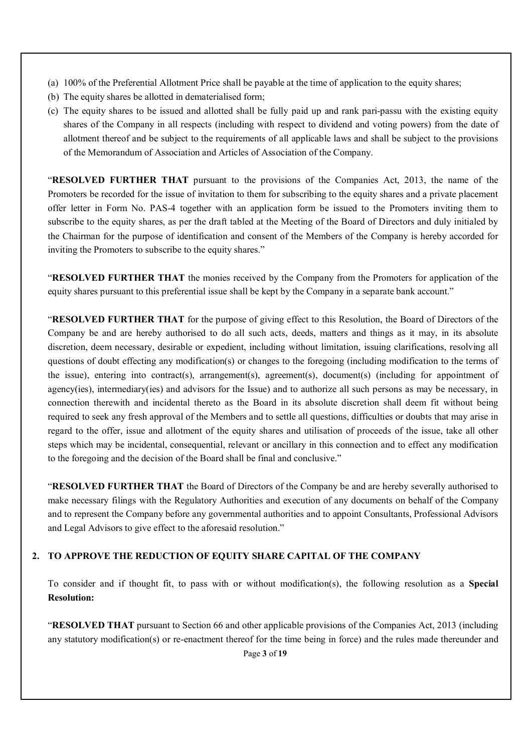- (a) 100% of the Preferential Allotment Price shall be payable at the time of application to the equity shares;
- (b) The equity shares be allotted in dematerialised form;
- (c) The equity shares to be issued and allotted shall be fully paid up and rank pari-passu with the existing equity shares of the Company in all respects (including with respect to dividend and voting powers) from the date of allotment thereof and be subject to the requirements of all applicable laws and shall be subject to the provisions of the Memorandum of Association and Articles of Association of the Company.

"**RESOLVED FURTHER THAT** pursuant to the provisions of the Companies Act, 2013, the name of the Promoters be recorded for the issue of invitation to them for subscribing to the equity shares and a private placement offer letter in Form No. PAS-4 together with an application form be issued to the Promoters inviting them to subscribe to the equity shares, as per the draft tabled at the Meeting of the Board of Directors and duly initialed by the Chairman for the purpose of identification and consent of the Members of the Company is hereby accorded for inviting the Promoters to subscribe to the equity shares."

"**RESOLVED FURTHER THAT** the monies received by the Company from the Promoters for application of the equity shares pursuant to this preferential issue shall be kept by the Company in a separate bank account."

"**RESOLVED FURTHER THAT** for the purpose of giving effect to this Resolution, the Board of Directors of the Company be and are hereby authorised to do all such acts, deeds, matters and things as it may, in its absolute discretion, deem necessary, desirable or expedient, including without limitation, issuing clarifications, resolving all questions of doubt effecting any modification(s) or changes to the foregoing (including modification to the terms of the issue), entering into contract(s), arrangement(s), agreement(s), document(s) (including for appointment of agency(ies), intermediary(ies) and advisors for the Issue) and to authorize all such persons as may be necessary, in connection therewith and incidental thereto as the Board in its absolute discretion shall deem fit without being required to seek any fresh approval of the Members and to settle all questions, difficulties or doubts that may arise in regard to the offer, issue and allotment of the equity shares and utilisation of proceeds of the issue, take all other steps which may be incidental, consequential, relevant or ancillary in this connection and to effect any modification to the foregoing and the decision of the Board shall be final and conclusive."

"**RESOLVED FURTHER THAT** the Board of Directors of the Company be and are hereby severally authorised to make necessary filings with the Regulatory Authorities and execution of any documents on behalf of the Company and to represent the Company before any governmental authorities and to appoint Consultants, Professional Advisors and Legal Advisors to give effect to the aforesaid resolution."

### **2. TO APPROVE THE REDUCTION OF EQUITY SHARE CAPITAL OF THE COMPANY**

To consider and if thought fit, to pass with or without modification(s), the following resolution as a **Special Resolution:**

"**RESOLVED THAT** pursuant to Section 66 and other applicable provisions of the Companies Act, 2013 (including any statutory modification(s) or re-enactment thereof for the time being in force) and the rules made thereunder and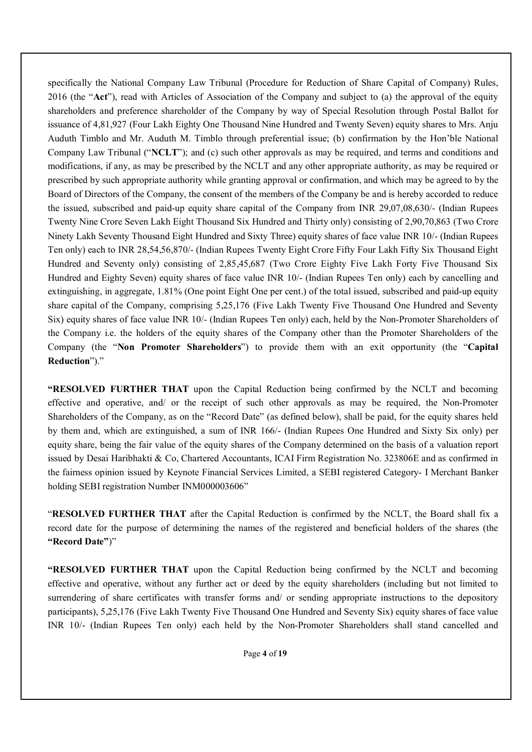specifically the National Company Law Tribunal (Procedure for Reduction of Share Capital of Company) Rules, 2016 (the "**Act**"), read with Articles of Association of the Company and subject to (a) the approval of the equity shareholders and preference shareholder of the Company by way of Special Resolution through Postal Ballot for issuance of 4,81,927 (Four Lakh Eighty One Thousand Nine Hundred and Twenty Seven) equity shares to Mrs. Anju Auduth Timblo and Mr. Auduth M. Timblo through preferential issue; (b) confirmation by the Hon'ble National Company Law Tribunal ("**NCLT**"); and (c) such other approvals as may be required, and terms and conditions and modifications, if any, as may be prescribed by the NCLT and any other appropriate authority, as may be required or prescribed by such appropriate authority while granting approval or confirmation, and which may be agreed to by the Board of Directors of the Company, the consent of the members of the Company be and is hereby accorded to reduce the issued, subscribed and paid-up equity share capital of the Company from INR 29,07,08,630/- (Indian Rupees Twenty Nine Crore Seven Lakh Eight Thousand Six Hundred and Thirty only) consisting of 2,90,70,863 (Two Crore Ninety Lakh Seventy Thousand Eight Hundred and Sixty Three) equity shares of face value INR 10/- (Indian Rupees Ten only) each to INR 28,54,56,870/- (Indian Rupees Twenty Eight Crore Fifty Four Lakh Fifty Six Thousand Eight Hundred and Seventy only) consisting of 2,85,45,687 (Two Crore Eighty Five Lakh Forty Five Thousand Six Hundred and Eighty Seven) equity shares of face value INR 10/- (Indian Rupees Ten only) each by cancelling and extinguishing, in aggregate, 1.81% (One point Eight One per cent.) of the total issued, subscribed and paid-up equity share capital of the Company, comprising 5,25,176 (Five Lakh Twenty Five Thousand One Hundred and Seventy Six) equity shares of face value INR 10/- (Indian Rupees Ten only) each, held by the Non-Promoter Shareholders of the Company i.e. the holders of the equity shares of the Company other than the Promoter Shareholders of the Company (the "**Non Promoter Shareholders**") to provide them with an exit opportunity (the "**Capital Reduction**")."

**"RESOLVED FURTHER THAT** upon the Capital Reduction being confirmed by the NCLT and becoming effective and operative, and/ or the receipt of such other approvals as may be required, the Non-Promoter Shareholders of the Company, as on the "Record Date" (as defined below), shall be paid, for the equity shares held by them and, which are extinguished, a sum of INR 166/- (Indian Rupees One Hundred and Sixty Six only) per equity share, being the fair value of the equity shares of the Company determined on the basis of a valuation report issued by Desai Haribhakti & Co, Chartered Accountants, ICAI Firm Registration No. 323806E and as confirmed in the fairness opinion issued by Keynote Financial Services Limited, a SEBI registered Category- I Merchant Banker holding SEBI registration Number INM000003606"

"**RESOLVED FURTHER THAT** after the Capital Reduction is confirmed by the NCLT, the Board shall fix a record date for the purpose of determining the names of the registered and beneficial holders of the shares (the **"Record Date"**)"

**"RESOLVED FURTHER THAT** upon the Capital Reduction being confirmed by the NCLT and becoming effective and operative, without any further act or deed by the equity shareholders (including but not limited to surrendering of share certificates with transfer forms and/ or sending appropriate instructions to the depository participants), 5,25,176 (Five Lakh Twenty Five Thousand One Hundred and Seventy Six) equity shares of face value INR 10/- (Indian Rupees Ten only) each held by the Non-Promoter Shareholders shall stand cancelled and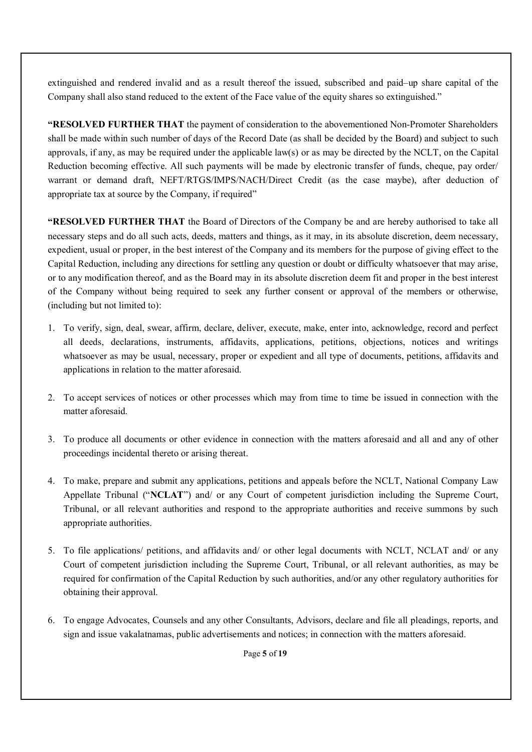extinguished and rendered invalid and as a result thereof the issued, subscribed and paid–up share capital of the Company shall also stand reduced to the extent of the Face value of the equity shares so extinguished."

**"RESOLVED FURTHER THAT** the payment of consideration to the abovementioned Non-Promoter Shareholders shall be made within such number of days of the Record Date (as shall be decided by the Board) and subject to such approvals, if any, as may be required under the applicable law(s) or as may be directed by the NCLT, on the Capital Reduction becoming effective. All such payments will be made by electronic transfer of funds, cheque, pay order/ warrant or demand draft, NEFT/RTGS/IMPS/NACH/Direct Credit (as the case maybe), after deduction of appropriate tax at source by the Company, if required"

**"RESOLVED FURTHER THAT** the Board of Directors of the Company be and are hereby authorised to take all necessary steps and do all such acts, deeds, matters and things, as it may, in its absolute discretion, deem necessary, expedient, usual or proper, in the best interest of the Company and its members for the purpose of giving effect to the Capital Reduction, including any directions for settling any question or doubt or difficulty whatsoever that may arise, or to any modification thereof, and as the Board may in its absolute discretion deem fit and proper in the best interest of the Company without being required to seek any further consent or approval of the members or otherwise, (including but not limited to):

- 1. To verify, sign, deal, swear, affirm, declare, deliver, execute, make, enter into, acknowledge, record and perfect all deeds, declarations, instruments, affidavits, applications, petitions, objections, notices and writings whatsoever as may be usual, necessary, proper or expedient and all type of documents, petitions, affidavits and applications in relation to the matter aforesaid.
- 2. To accept services of notices or other processes which may from time to time be issued in connection with the matter aforesaid.
- 3. To produce all documents or other evidence in connection with the matters aforesaid and all and any of other proceedings incidental thereto or arising thereat.
- 4. To make, prepare and submit any applications, petitions and appeals before the NCLT, National Company Law Appellate Tribunal ("**NCLAT**") and/ or any Court of competent jurisdiction including the Supreme Court, Tribunal, or all relevant authorities and respond to the appropriate authorities and receive summons by such appropriate authorities.
- 5. To file applications/ petitions, and affidavits and/ or other legal documents with NCLT, NCLAT and/ or any Court of competent jurisdiction including the Supreme Court, Tribunal, or all relevant authorities, as may be required for confirmation of the Capital Reduction by such authorities, and/or any other regulatory authorities for obtaining their approval.
- 6. To engage Advocates, Counsels and any other Consultants, Advisors, declare and file all pleadings, reports, and sign and issue vakalatnamas, public advertisements and notices; in connection with the matters aforesaid.

Page **5** of **19**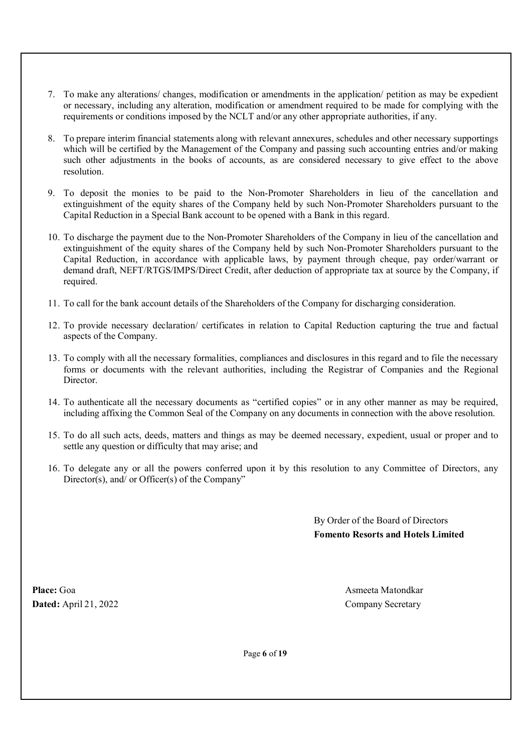- 7. To make any alterations/ changes, modification or amendments in the application/ petition as may be expedient or necessary, including any alteration, modification or amendment required to be made for complying with the requirements or conditions imposed by the NCLT and/or any other appropriate authorities, if any.
- 8. To prepare interim financial statements along with relevant annexures, schedules and other necessary supportings which will be certified by the Management of the Company and passing such accounting entries and/or making such other adjustments in the books of accounts, as are considered necessary to give effect to the above resolution.
- 9. To deposit the monies to be paid to the Non-Promoter Shareholders in lieu of the cancellation and extinguishment of the equity shares of the Company held by such Non-Promoter Shareholders pursuant to the Capital Reduction in a Special Bank account to be opened with a Bank in this regard.
- 10. To discharge the payment due to the Non-Promoter Shareholders of the Company in lieu of the cancellation and extinguishment of the equity shares of the Company held by such Non-Promoter Shareholders pursuant to the Capital Reduction, in accordance with applicable laws, by payment through cheque, pay order/warrant or demand draft, NEFT/RTGS/IMPS/Direct Credit, after deduction of appropriate tax at source by the Company, if required.
- 11. To call for the bank account details of the Shareholders of the Company for discharging consideration.
- 12. To provide necessary declaration/ certificates in relation to Capital Reduction capturing the true and factual aspects of the Company.
- 13. To comply with all the necessary formalities, compliances and disclosures in this regard and to file the necessary forms or documents with the relevant authorities, including the Registrar of Companies and the Regional Director.
- 14. To authenticate all the necessary documents as "certified copies" or in any other manner as may be required, including affixing the Common Seal of the Company on any documents in connection with the above resolution.
- 15. To do all such acts, deeds, matters and things as may be deemed necessary, expedient, usual or proper and to settle any question or difficulty that may arise; and
- 16. To delegate any or all the powers conferred upon it by this resolution to any Committee of Directors, any Director(s), and/ or Officer(s) of the Company"

By Order of the Board of Directors **Fomento Resorts and Hotels Limited**

**Place:** Goa Asmeeta Matondkar **Dated:** April 21, 2022 Company Secretary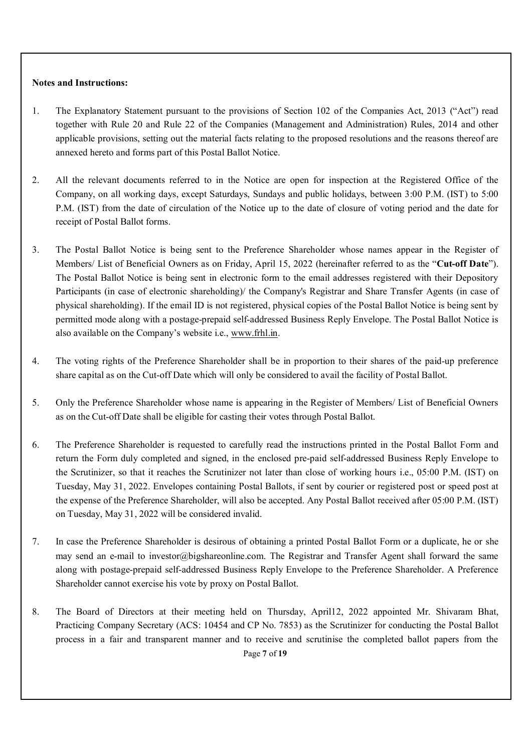#### **Notes and Instructions:**

- 1. The Explanatory Statement pursuant to the provisions of Section 102 of the Companies Act, 2013 ("Act") read together with Rule 20 and Rule 22 of the Companies (Management and Administration) Rules, 2014 and other applicable provisions, setting out the material facts relating to the proposed resolutions and the reasons thereof are annexed hereto and forms part of this Postal Ballot Notice.
- 2. All the relevant documents referred to in the Notice are open for inspection at the Registered Office of the Company, on all working days, except Saturdays, Sundays and public holidays, between 3:00 P.M. (IST) to 5:00 P.M. (IST) from the date of circulation of the Notice up to the date of closure of voting period and the date for receipt of Postal Ballot forms.
- 3. The Postal Ballot Notice is being sent to the Preference Shareholder whose names appear in the Register of Members/ List of Beneficial Owners as on Friday, April 15, 2022 (hereinafter referred to as the "**Cut-off Date**"). The Postal Ballot Notice is being sent in electronic form to the email addresses registered with their Depository Participants (in case of electronic shareholding)/ the Company's Registrar and Share Transfer Agents (in case of physical shareholding). If the email ID is not registered, physical copies of the Postal Ballot Notice is being sent by permitted mode along with a postage‑prepaid self‑addressed Business Reply Envelope. The Postal Ballot Notice is also available on the Company's website i.e., www.frhl.in.
- 4. The voting rights of the Preference Shareholder shall be in proportion to their shares of the paid-up preference share capital as on the Cut-off Date which will only be considered to avail the facility of Postal Ballot.
- 5. Only the Preference Shareholder whose name is appearing in the Register of Members/ List of Beneficial Owners as on the Cut-off Date shall be eligible for casting their votes through Postal Ballot.
- 6. The Preference Shareholder is requested to carefully read the instructions printed in the Postal Ballot Form and return the Form duly completed and signed, in the enclosed pre-paid self-addressed Business Reply Envelope to the Scrutinizer, so that it reaches the Scrutinizer not later than close of working hours i.e., 05:00 P.M. (IST) on Tuesday, May 31, 2022. Envelopes containing Postal Ballots, if sent by courier or registered post or speed post at the expense of the Preference Shareholder, will also be accepted. Any Postal Ballot received after 05:00 P.M. (IST) on Tuesday, May 31, 2022 will be considered invalid.
- 7. In case the Preference Shareholder is desirous of obtaining a printed Postal Ballot Form or a duplicate, he or she may send an e‑mail to investor@bigshareonline.com. The Registrar and Transfer Agent shall forward the same along with postage‑prepaid self‑addressed Business Reply Envelope to the Preference Shareholder. A Preference Shareholder cannot exercise his vote by proxy on Postal Ballot.
- 8. The Board of Directors at their meeting held on Thursday, April12, 2022 appointed Mr. Shivaram Bhat, Practicing Company Secretary (ACS: 10454 and CP No. 7853) as the Scrutinizer for conducting the Postal Ballot process in a fair and transparent manner and to receive and scrutinise the completed ballot papers from the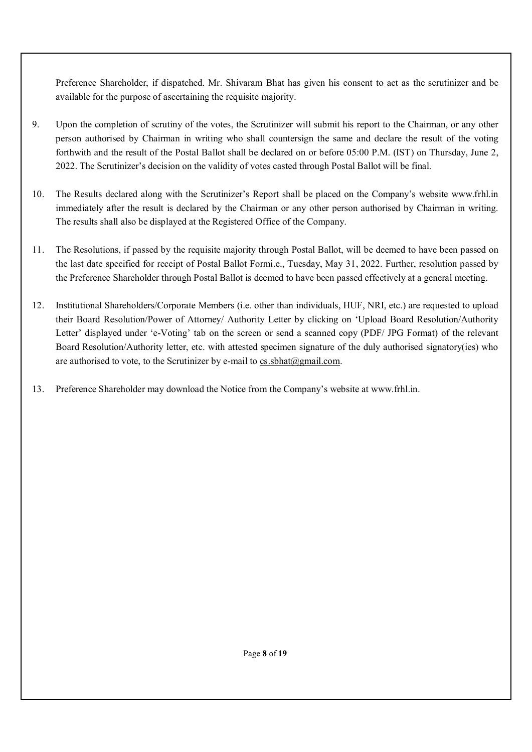Preference Shareholder, if dispatched. Mr. Shivaram Bhat has given his consent to act as the scrutinizer and be available for the purpose of ascertaining the requisite majority.

- 9. Upon the completion of scrutiny of the votes, the Scrutinizer will submit his report to the Chairman, or any other person authorised by Chairman in writing who shall countersign the same and declare the result of the voting forthwith and the result of the Postal Ballot shall be declared on or before 05:00 P.M. (IST) on Thursday, June 2, 2022. The Scrutinizer's decision on the validity of votes casted through Postal Ballot will be final.
- 10. The Results declared along with the Scrutinizer's Report shall be placed on the Company's website www.frhl.in immediately after the result is declared by the Chairman or any other person authorised by Chairman in writing. The results shall also be displayed at the Registered Office of the Company.
- 11. The Resolutions, if passed by the requisite majority through Postal Ballot, will be deemed to have been passed on the last date specified for receipt of Postal Ballot Formi.e., Tuesday, May 31, 2022. Further, resolution passed by the Preference Shareholder through Postal Ballot is deemed to have been passed effectively at a general meeting.
- 12. Institutional Shareholders/Corporate Members (i.e. other than individuals, HUF, NRI, etc.) are requested to upload their Board Resolution/Power of Attorney/ Authority Letter by clicking on 'Upload Board Resolution/Authority Letter' displayed under 'e-Voting' tab on the screen or send a scanned copy (PDF/ JPG Format) of the relevant Board Resolution/Authority letter, etc. with attested specimen signature of the duly authorised signatory(ies) who are authorised to vote, to the Scrutinizer by e-mail to cs.sbhat $(\partial g$ mail.com.
- 13. Preference Shareholder may download the Notice from the Company's website at www.frhl.in.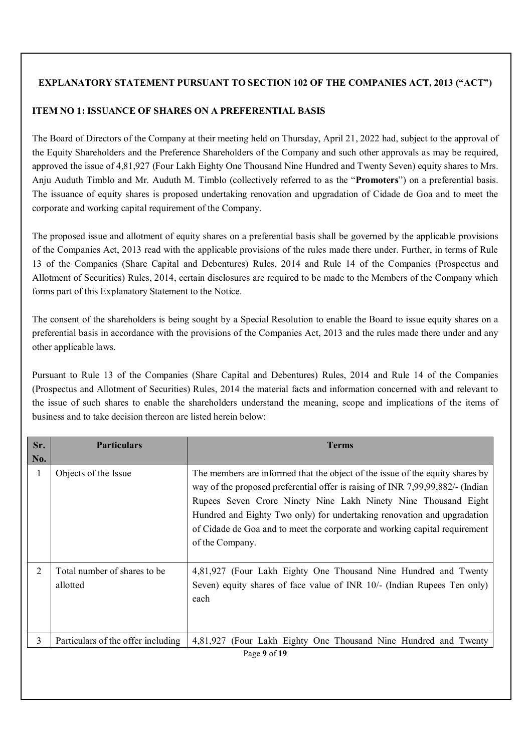## **EXPLANATORY STATEMENT PURSUANT TO SECTION 102 OF THE COMPANIES ACT, 2013 ("ACT")**

## **ITEM NO 1: ISSUANCE OF SHARES ON A PREFERENTIAL BASIS**

The Board of Directors of the Company at their meeting held on Thursday, April 21, 2022 had, subject to the approval of the Equity Shareholders and the Preference Shareholders of the Company and such other approvals as may be required, approved the issue of 4,81,927 (Four Lakh Eighty One Thousand Nine Hundred and Twenty Seven) equity shares to Mrs. Anju Auduth Timblo and Mr. Auduth M. Timblo (collectively referred to as the "**Promoters**") on a preferential basis. The issuance of equity shares is proposed undertaking renovation and upgradation of Cidade de Goa and to meet the corporate and working capital requirement of the Company.

The proposed issue and allotment of equity shares on a preferential basis shall be governed by the applicable provisions of the Companies Act, 2013 read with the applicable provisions of the rules made there under. Further, in terms of Rule 13 of the Companies (Share Capital and Debentures) Rules, 2014 and Rule 14 of the Companies (Prospectus and Allotment of Securities) Rules, 2014, certain disclosures are required to be made to the Members of the Company which forms part of this Explanatory Statement to the Notice.

The consent of the shareholders is being sought by a Special Resolution to enable the Board to issue equity shares on a preferential basis in accordance with the provisions of the Companies Act, 2013 and the rules made there under and any other applicable laws.

Pursuant to Rule 13 of the Companies (Share Capital and Debentures) Rules, 2014 and Rule 14 of the Companies (Prospectus and Allotment of Securities) Rules, 2014 the material facts and information concerned with and relevant to the issue of such shares to enable the shareholders understand the meaning, scope and implications of the items of business and to take decision thereon are listed herein below:

| Sr.          | <b>Particulars</b>                       | <b>Terms</b>                                                                                                                                                                                                                                                                                                                                                                                                  |
|--------------|------------------------------------------|---------------------------------------------------------------------------------------------------------------------------------------------------------------------------------------------------------------------------------------------------------------------------------------------------------------------------------------------------------------------------------------------------------------|
| No.          |                                          |                                                                                                                                                                                                                                                                                                                                                                                                               |
| $\mathbf{1}$ | Objects of the Issue                     | The members are informed that the object of the issue of the equity shares by<br>way of the proposed preferential offer is raising of INR 7,99,99,882/- (Indian<br>Rupees Seven Crore Ninety Nine Lakh Ninety Nine Thousand Eight<br>Hundred and Eighty Two only) for undertaking renovation and upgradation<br>of Cidade de Goa and to meet the corporate and working capital requirement<br>of the Company. |
| 2            | Total number of shares to be<br>allotted | 4,81,927 (Four Lakh Eighty One Thousand Nine Hundred and Twenty<br>Seven) equity shares of face value of INR 10/- (Indian Rupees Ten only)<br>each                                                                                                                                                                                                                                                            |
| 3            | Particulars of the offer including       | 4,81,927<br>(Four Lakh Eighty One Thousand Nine Hundred and Twenty<br>Page 9 of 19                                                                                                                                                                                                                                                                                                                            |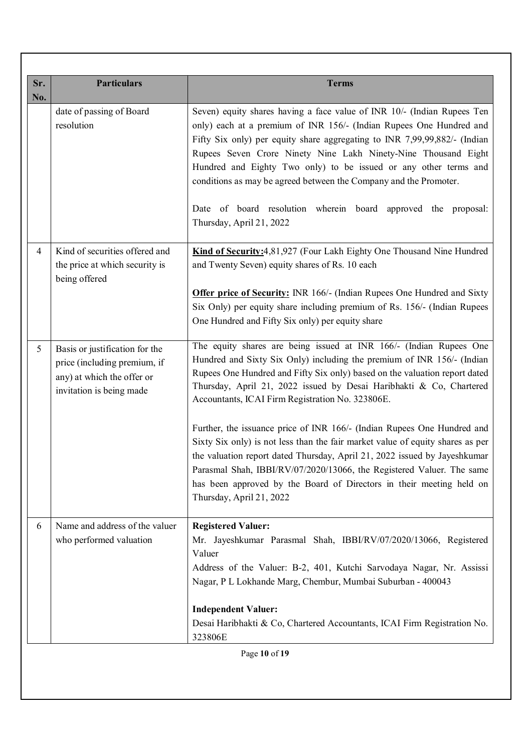| Sr.<br>No.     | <b>Particulars</b>                                                                                                       | <b>Terms</b>                                                                                                                                                                                                                                                                                                                                                                                                                                                                                                                                                                                                                                                                                                                                     |
|----------------|--------------------------------------------------------------------------------------------------------------------------|--------------------------------------------------------------------------------------------------------------------------------------------------------------------------------------------------------------------------------------------------------------------------------------------------------------------------------------------------------------------------------------------------------------------------------------------------------------------------------------------------------------------------------------------------------------------------------------------------------------------------------------------------------------------------------------------------------------------------------------------------|
|                | date of passing of Board<br>resolution                                                                                   | Seven) equity shares having a face value of INR 10/- (Indian Rupees Ten<br>only) each at a premium of INR 156/- (Indian Rupees One Hundred and<br>Fifty Six only) per equity share aggregating to INR 7,99,99,882/- (Indian<br>Rupees Seven Crore Ninety Nine Lakh Ninety-Nine Thousand Eight<br>Hundred and Eighty Two only) to be issued or any other terms and<br>conditions as may be agreed between the Company and the Promoter.<br>Date of board resolution wherein board approved the proposal:<br>Thursday, April 21, 2022                                                                                                                                                                                                              |
| $\overline{4}$ | Kind of securities offered and<br>the price at which security is<br>being offered                                        | Kind of Security: 4,81,927 (Four Lakh Eighty One Thousand Nine Hundred<br>and Twenty Seven) equity shares of Rs. 10 each<br><b>Offer price of Security:</b> INR 166/- (Indian Rupees One Hundred and Sixty<br>Six Only) per equity share including premium of Rs. 156/- (Indian Rupees<br>One Hundred and Fifty Six only) per equity share                                                                                                                                                                                                                                                                                                                                                                                                       |
| 5              | Basis or justification for the<br>price (including premium, if<br>any) at which the offer or<br>invitation is being made | The equity shares are being issued at INR 166/- (Indian Rupees One<br>Hundred and Sixty Six Only) including the premium of INR 156/- (Indian<br>Rupees One Hundred and Fifty Six only) based on the valuation report dated<br>Thursday, April 21, 2022 issued by Desai Haribhakti & Co, Chartered<br>Accountants, ICAI Firm Registration No. 323806E.<br>Further, the issuance price of INR 166/- (Indian Rupees One Hundred and<br>Sixty Six only) is not less than the fair market value of equity shares as per<br>the valuation report dated Thursday, April 21, 2022 issued by Jayeshkumar<br>Parasmal Shah, IBBI/RV/07/2020/13066, the Registered Valuer. The same<br>has been approved by the Board of Directors in their meeting held on |
| 6              | Name and address of the valuer<br>who performed valuation                                                                | Thursday, April 21, 2022<br><b>Registered Valuer:</b><br>Mr. Jayeshkumar Parasmal Shah, IBBI/RV/07/2020/13066, Registered<br>Valuer<br>Address of the Valuer: B-2, 401, Kutchi Sarvodaya Nagar, Nr. Assissi<br>Nagar, P L Lokhande Marg, Chembur, Mumbai Suburban - 400043<br><b>Independent Valuer:</b><br>Desai Haribhakti & Co, Chartered Accountants, ICAI Firm Registration No.<br>323806E<br>Page 10 of 19                                                                                                                                                                                                                                                                                                                                 |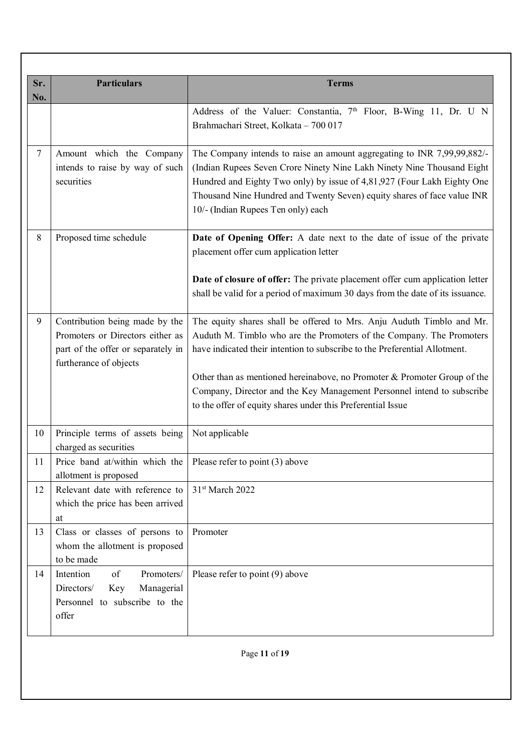| <b>Particulars</b>                                                                                                                 | <b>Terms</b>                                                                                                                                                                                                                                                                                                                                                                                                                                     |
|------------------------------------------------------------------------------------------------------------------------------------|--------------------------------------------------------------------------------------------------------------------------------------------------------------------------------------------------------------------------------------------------------------------------------------------------------------------------------------------------------------------------------------------------------------------------------------------------|
|                                                                                                                                    | Address of the Valuer: Constantia, 7 <sup>th</sup> Floor, B-Wing 11, Dr. U N<br>Brahmachari Street, Kolkata - 700 017                                                                                                                                                                                                                                                                                                                            |
| Amount which the Company<br>intends to raise by way of such<br>securities                                                          | The Company intends to raise an amount aggregating to INR 7,99,99,882/-<br>(Indian Rupees Seven Crore Ninety Nine Lakh Ninety Nine Thousand Eight<br>Hundred and Eighty Two only) by issue of 4,81,927 (Four Lakh Eighty One<br>Thousand Nine Hundred and Twenty Seven) equity shares of face value INR<br>10/- (Indian Rupees Ten only) each                                                                                                    |
| Proposed time schedule                                                                                                             | Date of Opening Offer: A date next to the date of issue of the private<br>placement offer cum application letter                                                                                                                                                                                                                                                                                                                                 |
|                                                                                                                                    | Date of closure of offer: The private placement offer cum application letter<br>shall be valid for a period of maximum 30 days from the date of its issuance.                                                                                                                                                                                                                                                                                    |
| Contribution being made by the<br>Promoters or Directors either as<br>part of the offer or separately in<br>furtherance of objects | The equity shares shall be offered to Mrs. Anju Auduth Timblo and Mr.<br>Auduth M. Timblo who are the Promoters of the Company. The Promoters<br>have indicated their intention to subscribe to the Preferential Allotment.<br>Other than as mentioned hereinabove, no Promoter & Promoter Group of the<br>Company, Director and the Key Management Personnel intend to subscribe<br>to the offer of equity shares under this Preferential Issue |
| Principle terms of assets being                                                                                                    | Not applicable                                                                                                                                                                                                                                                                                                                                                                                                                                   |
| Price band at/within which the $ $ Please refer to point (3) above<br>allotment is proposed                                        |                                                                                                                                                                                                                                                                                                                                                                                                                                                  |
| Relevant date with reference to<br>which the price has been arrived<br>at                                                          | 31st March 2022                                                                                                                                                                                                                                                                                                                                                                                                                                  |
| Class or classes of persons to<br>whom the allotment is proposed<br>to be made                                                     | Promoter                                                                                                                                                                                                                                                                                                                                                                                                                                         |
| of<br>Intention<br>Promoters/<br>Directors/<br>Managerial<br>Key<br>Personnel to subscribe to the<br>offer                         | Please refer to point (9) above                                                                                                                                                                                                                                                                                                                                                                                                                  |
|                                                                                                                                    | charged as securities                                                                                                                                                                                                                                                                                                                                                                                                                            |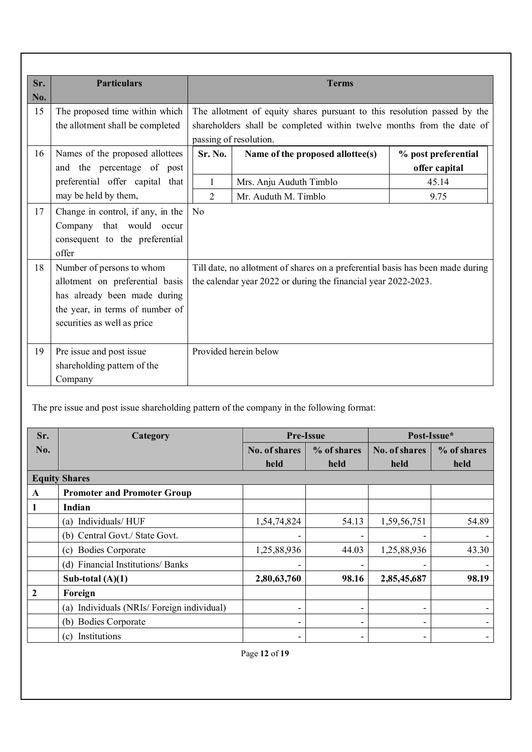| Sr. | <b>Particulars</b>                | <b>Terms</b>   |                                                                                |                     |  |
|-----|-----------------------------------|----------------|--------------------------------------------------------------------------------|---------------------|--|
| No. |                                   |                |                                                                                |                     |  |
| 15  | The proposed time within which    |                | The allotment of equity shares pursuant to this resolution passed by the       |                     |  |
|     | the allotment shall be completed  |                | shareholders shall be completed within twelve months from the date of          |                     |  |
|     |                                   |                | passing of resolution.                                                         |                     |  |
| 16  | Names of the proposed allottees   | Sr. No.        | Name of the proposed allottee(s)                                               | % post preferential |  |
|     | and the percentage of post        |                |                                                                                | offer capital       |  |
|     | preferential offer capital that   | 1              | Mrs. Anju Auduth Timblo                                                        | 45.14               |  |
|     | may be held by them,              | 2              | Mr. Auduth M. Timblo                                                           | 9.75                |  |
| 17  | Change in control, if any, in the | N <sub>o</sub> |                                                                                |                     |  |
|     | Company that would occur          |                |                                                                                |                     |  |
|     | consequent to the preferential    |                |                                                                                |                     |  |
|     | offer                             |                |                                                                                |                     |  |
| 18  | Number of persons to whom         |                | Till date, no allotment of shares on a preferential basis has been made during |                     |  |
|     | allotment on preferential basis   |                | the calendar year 2022 or during the financial year 2022-2023.                 |                     |  |
|     | has already been made during      |                |                                                                                |                     |  |
|     | the year, in terms of number of   |                |                                                                                |                     |  |
|     | securities as well as price       |                |                                                                                |                     |  |
|     |                                   |                |                                                                                |                     |  |
| 19  | Pre issue and post issue          |                | Provided herein below                                                          |                     |  |
|     | shareholding pattern of the       |                |                                                                                |                     |  |
|     | Company                           |                |                                                                                |                     |  |

The pre issue and post issue shareholding pattern of the company in the following format:

| Sr.          | Category                                     |                | <b>Pre-Issue</b> |               | Post-Issue* |  |
|--------------|----------------------------------------------|----------------|------------------|---------------|-------------|--|
| No.          |                                              | No. of shares  | % of shares      | No. of shares | % of shares |  |
|              |                                              | held           | held             | held          | held        |  |
|              | <b>Equity Shares</b>                         |                |                  |               |             |  |
| A            | <b>Promoter and Promoter Group</b>           |                |                  |               |             |  |
| 1            | Indian                                       |                |                  |               |             |  |
|              | Individuals/HUF<br>(a)                       | 1,54,74,824    | 54.13            | 1,59,56,751   | 54.89       |  |
|              | (b) Central Govt./ State Govt.               |                |                  |               |             |  |
|              | <b>Bodies Corporate</b><br>(c)               | 1,25,88,936    | 44.03            | 1,25,88,936   | 43.30       |  |
|              | (d) Financial Institutions/ Banks            |                |                  |               |             |  |
|              | Sub-total $(A)(1)$                           | 2,80,63,760    | 98.16            | 2,85,45,687   | 98.19       |  |
| $\mathbf{2}$ | Foreign                                      |                |                  |               |             |  |
|              | Individuals (NRIs/Foreign individual)<br>(a) | $\blacksquare$ | -                |               |             |  |
|              | <b>Bodies Corporate</b><br>(b)               | -              | -                |               |             |  |
|              | Institutions<br>(c)                          |                |                  |               |             |  |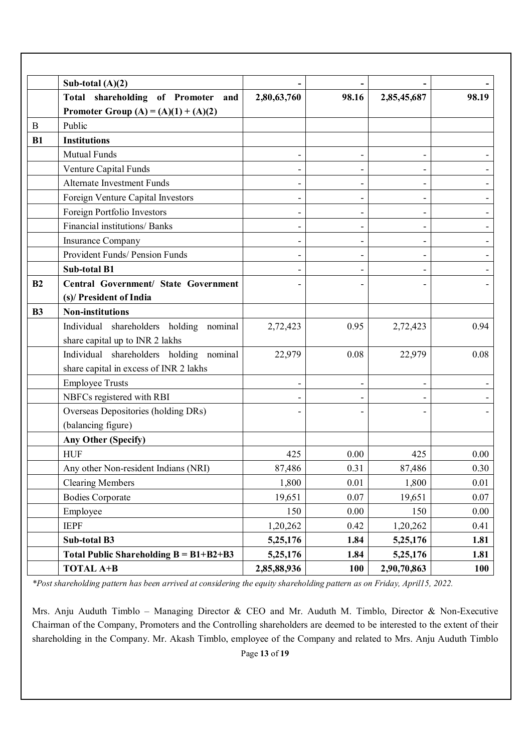|           | Sub-total $(A)(2)$                           |             |          |             |       |
|-----------|----------------------------------------------|-------------|----------|-------------|-------|
|           | Total shareholding of Promoter<br>and        | 2,80,63,760 | 98.16    | 2,85,45,687 | 98.19 |
|           | Promoter Group (A) = (A)(1) + (A)(2)         |             |          |             |       |
| $\bf{B}$  | Public                                       |             |          |             |       |
| B1        | <b>Institutions</b>                          |             |          |             |       |
|           | <b>Mutual Funds</b>                          |             |          |             |       |
|           | Venture Capital Funds                        |             |          |             |       |
|           | <b>Alternate Investment Funds</b>            |             |          |             |       |
|           | Foreign Venture Capital Investors            |             |          |             |       |
|           | Foreign Portfolio Investors                  |             | -        | -           |       |
|           | Financial institutions/ Banks                |             |          |             |       |
|           | <b>Insurance Company</b>                     |             |          |             |       |
|           | Provident Funds/ Pension Funds               |             |          |             |       |
|           | <b>Sub-total B1</b>                          |             |          |             |       |
| B2        | <b>Central Government/ State Government</b>  |             |          |             |       |
|           | (s)/ President of India                      |             |          |             |       |
| <b>B3</b> | <b>Non-institutions</b>                      |             |          |             |       |
|           | Individual shareholders holding nominal      | 2,72,423    | 0.95     | 2,72,423    | 0.94  |
|           | share capital up to INR 2 lakhs              |             |          |             |       |
|           | Individual shareholders holding nominal      | 22,979      | 0.08     | 22,979      | 0.08  |
|           | share capital in excess of INR 2 lakhs       |             |          |             |       |
|           | <b>Employee Trusts</b>                       |             |          |             |       |
|           | NBFCs registered with RBI                    |             |          |             |       |
|           | Overseas Depositories (holding DRs)          |             |          |             |       |
|           | (balancing figure)                           |             |          |             |       |
|           | <b>Any Other (Specify)</b>                   |             |          |             |       |
|           | <b>HUF</b>                                   | 425         | 0.00     | 425         | 0.00  |
|           | Any other Non-resident Indians (NRI)         | 87,486      | 0.31     | 87,486      | 0.30  |
|           | <b>Clearing Members</b>                      | 1,800       | $0.01\,$ | 1,800       | 0.01  |
|           | <b>Bodies Corporate</b>                      | 19,651      | 0.07     | 19,651      | 0.07  |
|           | Employee                                     | 150         | 0.00     | 150         | 0.00  |
|           | <b>IEPF</b>                                  | 1,20,262    | 0.42     | 1,20,262    | 0.41  |
|           | Sub-total B3                                 | 5,25,176    | 1.84     | 5,25,176    | 1.81  |
|           | Total Public Shareholding $B = B1 + B2 + B3$ | 5,25,176    | 1.84     | 5,25,176    | 1.81  |
|           | <b>TOTAL A+B</b>                             | 2,85,88,936 | 100      | 2,90,70,863 | 100   |

*\*Post shareholding pattern has been arrived at considering the equity shareholding pattern as on Friday, April15, 2022.*

Page **13** of **19** Mrs. Anju Auduth Timblo – Managing Director & CEO and Mr. Auduth M. Timblo, Director & Non-Executive Chairman of the Company, Promoters and the Controlling shareholders are deemed to be interested to the extent of their shareholding in the Company. Mr. Akash Timblo, employee of the Company and related to Mrs. Anju Auduth Timblo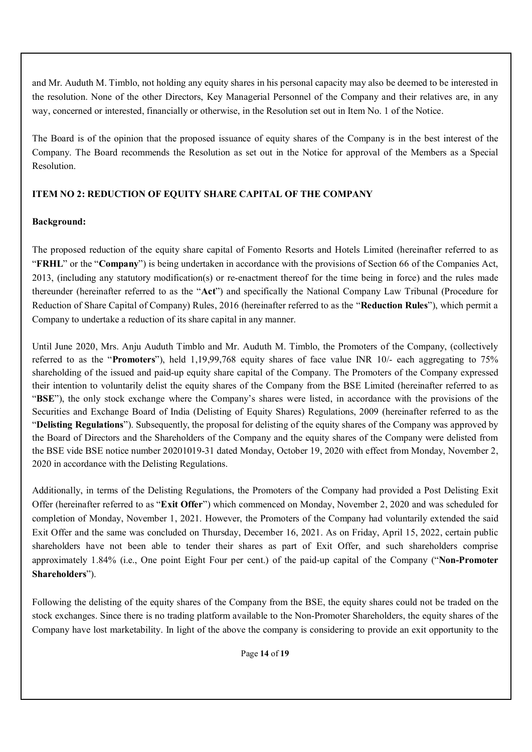and Mr. Auduth M. Timblo, not holding any equity shares in his personal capacity may also be deemed to be interested in the resolution. None of the other Directors, Key Managerial Personnel of the Company and their relatives are, in any way, concerned or interested, financially or otherwise, in the Resolution set out in Item No. 1 of the Notice.

The Board is of the opinion that the proposed issuance of equity shares of the Company is in the best interest of the Company. The Board recommends the Resolution as set out in the Notice for approval of the Members as a Special Resolution.

## **ITEM NO 2: REDUCTION OF EQUITY SHARE CAPITAL OF THE COMPANY**

## **Background:**

The proposed reduction of the equity share capital of Fomento Resorts and Hotels Limited (hereinafter referred to as "**FRHL**" or the "**Company**") is being undertaken in accordance with the provisions of Section 66 of the Companies Act, 2013, (including any statutory modification(s) or re-enactment thereof for the time being in force) and the rules made thereunder (hereinafter referred to as the "**Act**") and specifically the National Company Law Tribunal (Procedure for Reduction of Share Capital of Company) Rules, 2016 (hereinafter referred to as the "**Reduction Rules**"), which permit a Company to undertake a reduction of its share capital in any manner.

Until June 2020, Mrs. Anju Auduth Timblo and Mr. Auduth M. Timblo, the Promoters of the Company, (collectively referred to as the "**Promoters**"), held 1,19,99,768 equity shares of face value INR 10/- each aggregating to 75% shareholding of the issued and paid-up equity share capital of the Company. The Promoters of the Company expressed their intention to voluntarily delist the equity shares of the Company from the BSE Limited (hereinafter referred to as "**BSE**"), the only stock exchange where the Company's shares were listed, in accordance with the provisions of the Securities and Exchange Board of India (Delisting of Equity Shares) Regulations, 2009 (hereinafter referred to as the "**Delisting Regulations**"). Subsequently, the proposal for delisting of the equity shares of the Company was approved by the Board of Directors and the Shareholders of the Company and the equity shares of the Company were delisted from the BSE vide BSE notice number 20201019-31 dated Monday, October 19, 2020 with effect from Monday, November 2, 2020 in accordance with the Delisting Regulations.

Additionally, in terms of the Delisting Regulations, the Promoters of the Company had provided a Post Delisting Exit Offer (hereinafter referred to as "**Exit Offer**") which commenced on Monday, November 2, 2020 and was scheduled for completion of Monday, November 1, 2021. However, the Promoters of the Company had voluntarily extended the said Exit Offer and the same was concluded on Thursday, December 16, 2021. As on Friday, April 15, 2022, certain public shareholders have not been able to tender their shares as part of Exit Offer, and such shareholders comprise approximately 1.84% (i.e., One point Eight Four per cent.) of the paid-up capital of the Company ("**Non-Promoter Shareholders**").

Following the delisting of the equity shares of the Company from the BSE, the equity shares could not be traded on the stock exchanges. Since there is no trading platform available to the Non-Promoter Shareholders, the equity shares of the Company have lost marketability. In light of the above the company is considering to provide an exit opportunity to the

Page **14** of **19**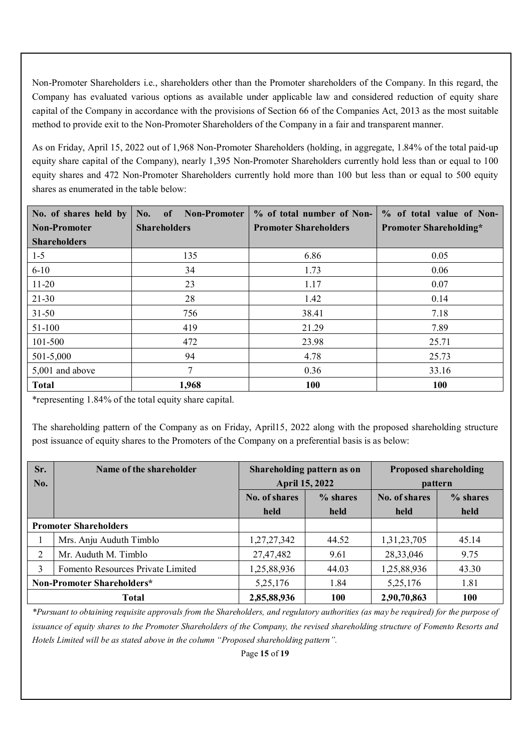Non-Promoter Shareholders i.e., shareholders other than the Promoter shareholders of the Company. In this regard, the Company has evaluated various options as available under applicable law and considered reduction of equity share capital of the Company in accordance with the provisions of Section 66 of the Companies Act, 2013 as the most suitable method to provide exit to the Non-Promoter Shareholders of the Company in a fair and transparent manner.

As on Friday, April 15, 2022 out of 1,968 Non-Promoter Shareholders (holding, in aggregate, 1.84% of the total paid-up equity share capital of the Company), nearly 1,395 Non-Promoter Shareholders currently hold less than or equal to 100 equity shares and 472 Non-Promoter Shareholders currently hold more than 100 but less than or equal to 500 equity shares as enumerated in the table below:

| No. of shares held by           | <b>Non-Promoter</b><br>No.<br>of | % of total number of Non-    | % of total value of Non-      |  |
|---------------------------------|----------------------------------|------------------------------|-------------------------------|--|
| <b>Non-Promoter</b>             | <b>Shareholders</b>              | <b>Promoter Shareholders</b> | <b>Promoter Shareholding*</b> |  |
| <b>Shareholders</b>             |                                  |                              |                               |  |
| $1 - 5$                         | 135                              | 6.86                         | 0.05                          |  |
| $6 - 10$                        | 34                               | 1.73                         | 0.06                          |  |
| $11-20$                         | 23                               | 1.17                         | 0.07                          |  |
| $21 - 30$                       | 28                               | 1.42                         | 0.14                          |  |
| $31 - 50$                       | 756                              | 38.41                        | 7.18                          |  |
| 51-100                          | 419                              | 21.29                        | 7.89                          |  |
| 101-500                         | 472                              | 23.98                        | 25.71                         |  |
| 501-5,000                       | 94                               | 4.78                         | 25.73                         |  |
| $\mathbf{7}$<br>5,001 and above |                                  | 0.36                         | 33.16                         |  |
| <b>Total</b>                    | 1,968                            | <b>100</b>                   | <b>100</b>                    |  |

\*representing 1.84% of the total equity share capital.

The shareholding pattern of the Company as on Friday, April15, 2022 along with the proposed shareholding structure post issuance of equity shares to the Promoters of the Company on a preferential basis is as below:

| Sr.<br>No.                             | Name of the shareholder | Shareholding pattern as on<br><b>April 15, 2022</b> |            | <b>Proposed shareholding</b><br>pattern |            |
|----------------------------------------|-------------------------|-----------------------------------------------------|------------|-----------------------------------------|------------|
|                                        |                         | No. of shares                                       | $%$ shares | No. of shares                           | % shares   |
|                                        |                         | held                                                | held       | held                                    | held       |
| <b>Promoter Shareholders</b>           |                         |                                                     |            |                                         |            |
|                                        | Mrs. Anju Auduth Timblo | 1,27,27,342                                         | 44.52      | 1,31,23,705                             | 45.14      |
| 2                                      | Mr. Auduth M. Timblo    | 27,47,482                                           | 9.61       | 28,33,046                               | 9.75       |
| Fomento Resources Private Limited<br>3 |                         | 1,25,88,936                                         | 44.03      | 1,25,88,936                             | 43.30      |
| Non-Promoter Shareholders*             |                         | 5,25,176                                            | 1.84       | 5,25,176                                | 1.81       |
| <b>Total</b>                           |                         | 2,85,88,936                                         | <b>100</b> | 2,90,70,863                             | <b>100</b> |

*\*Pursuant to obtaining requisite approvals from the Shareholders, and regulatory authorities (as may be required) for the purpose of issuance of equity shares to the Promoter Shareholders of the Company, the revised shareholding structure of Fomento Resorts and Hotels Limited will be as stated above in the column "Proposed shareholding pattern".*

Page **15** of **19**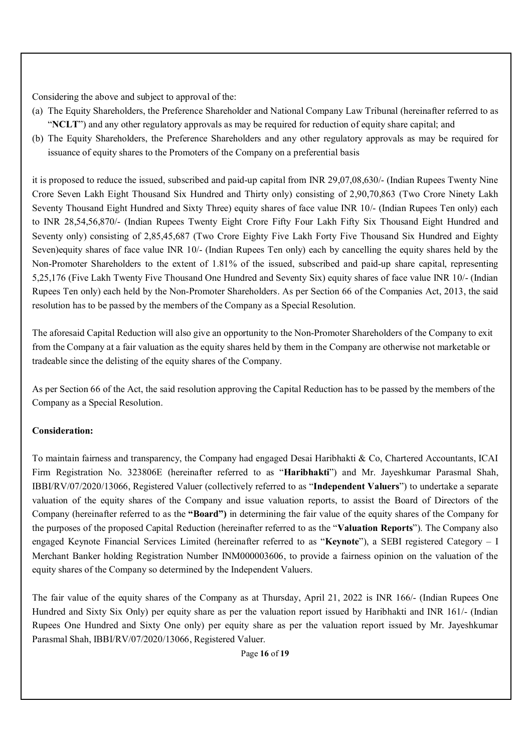Considering the above and subject to approval of the:

- (a) The Equity Shareholders, the Preference Shareholder and National Company Law Tribunal (hereinafter referred to as "**NCLT**") and any other regulatory approvals as may be required for reduction of equity share capital; and
- (b) The Equity Shareholders, the Preference Shareholders and any other regulatory approvals as may be required for issuance of equity shares to the Promoters of the Company on a preferential basis

it is proposed to reduce the issued, subscribed and paid-up capital from INR 29,07,08,630/- (Indian Rupees Twenty Nine Crore Seven Lakh Eight Thousand Six Hundred and Thirty only) consisting of 2,90,70,863 (Two Crore Ninety Lakh Seventy Thousand Eight Hundred and Sixty Three) equity shares of face value INR 10/- (Indian Rupees Ten only) each to INR 28,54,56,870/- (Indian Rupees Twenty Eight Crore Fifty Four Lakh Fifty Six Thousand Eight Hundred and Seventy only) consisting of 2,85,45,687 (Two Crore Eighty Five Lakh Forty Five Thousand Six Hundred and Eighty Seven)equity shares of face value INR 10/- (Indian Rupees Ten only) each by cancelling the equity shares held by the Non-Promoter Shareholders to the extent of 1.81% of the issued, subscribed and paid-up share capital, representing 5,25,176 (Five Lakh Twenty Five Thousand One Hundred and Seventy Six) equity shares of face value INR 10/- (Indian Rupees Ten only) each held by the Non-Promoter Shareholders. As per Section 66 of the Companies Act, 2013, the said resolution has to be passed by the members of the Company as a Special Resolution.

The aforesaid Capital Reduction will also give an opportunity to the Non-Promoter Shareholders of the Company to exit from the Company at a fair valuation as the equity shares held by them in the Company are otherwise not marketable or tradeable since the delisting of the equity shares of the Company.

As per Section 66 of the Act, the said resolution approving the Capital Reduction has to be passed by the members of the Company as a Special Resolution.

### **Consideration:**

To maintain fairness and transparency, the Company had engaged Desai Haribhakti & Co, Chartered Accountants, ICAI Firm Registration No. 323806E (hereinafter referred to as "**Haribhakti**") and Mr. Jayeshkumar Parasmal Shah, IBBI/RV/07/2020/13066, Registered Valuer (collectively referred to as "**Independent Valuers**") to undertake a separate valuation of the equity shares of the Company and issue valuation reports, to assist the Board of Directors of the Company (hereinafter referred to as the **"Board")** in determining the fair value of the equity shares of the Company for the purposes of the proposed Capital Reduction (hereinafter referred to as the "**Valuation Reports**"). The Company also engaged Keynote Financial Services Limited (hereinafter referred to as "**Keynote**"), a SEBI registered Category – I Merchant Banker holding Registration Number INM000003606, to provide a fairness opinion on the valuation of the equity shares of the Company so determined by the Independent Valuers.

The fair value of the equity shares of the Company as at Thursday, April 21, 2022 is INR 166/- (Indian Rupees One Hundred and Sixty Six Only) per equity share as per the valuation report issued by Haribhakti and INR 161/- (Indian Rupees One Hundred and Sixty One only) per equity share as per the valuation report issued by Mr. Jayeshkumar Parasmal Shah, IBBI/RV/07/2020/13066, Registered Valuer.

Page **16** of **19**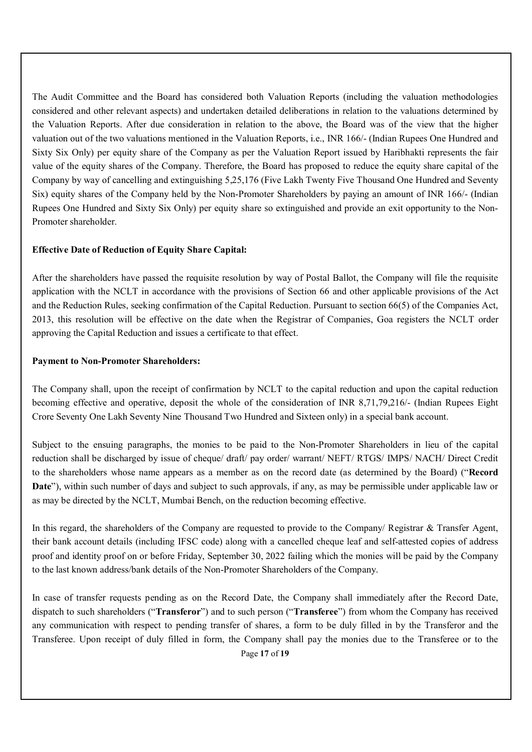The Audit Committee and the Board has considered both Valuation Reports (including the valuation methodologies considered and other relevant aspects) and undertaken detailed deliberations in relation to the valuations determined by the Valuation Reports. After due consideration in relation to the above, the Board was of the view that the higher valuation out of the two valuations mentioned in the Valuation Reports, i.e., INR 166/- (Indian Rupees One Hundred and Sixty Six Only) per equity share of the Company as per the Valuation Report issued by Haribhakti represents the fair value of the equity shares of the Company. Therefore, the Board has proposed to reduce the equity share capital of the Company by way of cancelling and extinguishing 5,25,176 (Five Lakh Twenty Five Thousand One Hundred and Seventy Six) equity shares of the Company held by the Non-Promoter Shareholders by paying an amount of INR 166/- (Indian Rupees One Hundred and Sixty Six Only) per equity share so extinguished and provide an exit opportunity to the Non-Promoter shareholder.

### **Effective Date of Reduction of Equity Share Capital:**

After the shareholders have passed the requisite resolution by way of Postal Ballot, the Company will file the requisite application with the NCLT in accordance with the provisions of Section 66 and other applicable provisions of the Act and the Reduction Rules, seeking confirmation of the Capital Reduction. Pursuant to section 66(5) of the Companies Act, 2013, this resolution will be effective on the date when the Registrar of Companies, Goa registers the NCLT order approving the Capital Reduction and issues a certificate to that effect.

#### **Payment to Non-Promoter Shareholders:**

The Company shall, upon the receipt of confirmation by NCLT to the capital reduction and upon the capital reduction becoming effective and operative, deposit the whole of the consideration of INR 8,71,79,216/- (Indian Rupees Eight Crore Seventy One Lakh Seventy Nine Thousand Two Hundred and Sixteen only) in a special bank account.

Subject to the ensuing paragraphs, the monies to be paid to the Non-Promoter Shareholders in lieu of the capital reduction shall be discharged by issue of cheque/ draft/ pay order/ warrant/ NEFT/ RTGS/ IMPS/ NACH/ Direct Credit to the shareholders whose name appears as a member as on the record date (as determined by the Board) ("**Record Date**"), within such number of days and subject to such approvals, if any, as may be permissible under applicable law or as may be directed by the NCLT, Mumbai Bench, on the reduction becoming effective.

In this regard, the shareholders of the Company are requested to provide to the Company/ Registrar & Transfer Agent, their bank account details (including IFSC code) along with a cancelled cheque leaf and self-attested copies of address proof and identity proof on or before Friday, September 30, 2022 failing which the monies will be paid by the Company to the last known address/bank details of the Non-Promoter Shareholders of the Company.

Page **17** of **19** In case of transfer requests pending as on the Record Date, the Company shall immediately after the Record Date, dispatch to such shareholders ("**Transferor**") and to such person ("**Transferee**") from whom the Company has received any communication with respect to pending transfer of shares, a form to be duly filled in by the Transferor and the Transferee. Upon receipt of duly filled in form, the Company shall pay the monies due to the Transferee or to the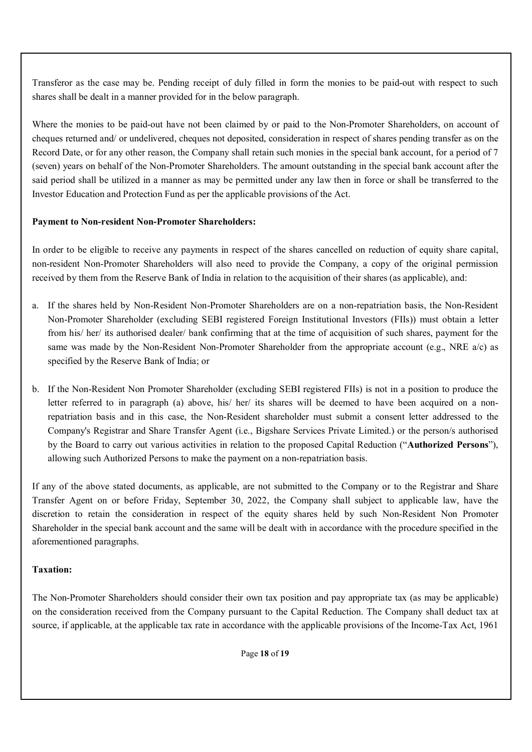Transferor as the case may be. Pending receipt of duly filled in form the monies to be paid-out with respect to such shares shall be dealt in a manner provided for in the below paragraph.

Where the monies to be paid-out have not been claimed by or paid to the Non-Promoter Shareholders, on account of cheques returned and/ or undelivered, cheques not deposited, consideration in respect of shares pending transfer as on the Record Date, or for any other reason, the Company shall retain such monies in the special bank account, for a period of 7 (seven) years on behalf of the Non-Promoter Shareholders. The amount outstanding in the special bank account after the said period shall be utilized in a manner as may be permitted under any law then in force or shall be transferred to the Investor Education and Protection Fund as per the applicable provisions of the Act.

### **Payment to Non-resident Non-Promoter Shareholders:**

In order to be eligible to receive any payments in respect of the shares cancelled on reduction of equity share capital, non-resident Non-Promoter Shareholders will also need to provide the Company, a copy of the original permission received by them from the Reserve Bank of India in relation to the acquisition of their shares (as applicable), and:

- a. If the shares held by Non-Resident Non-Promoter Shareholders are on a non-repatriation basis, the Non-Resident Non-Promoter Shareholder (excluding SEBI registered Foreign Institutional Investors (FIIs)) must obtain a letter from his/ her/ its authorised dealer/ bank confirming that at the time of acquisition of such shares, payment for the same was made by the Non-Resident Non-Promoter Shareholder from the appropriate account (e.g., NRE a/c) as specified by the Reserve Bank of India; or
- b. If the Non-Resident Non Promoter Shareholder (excluding SEBI registered FIIs) is not in a position to produce the letter referred to in paragraph (a) above, his/ her/ its shares will be deemed to have been acquired on a nonrepatriation basis and in this case, the Non-Resident shareholder must submit a consent letter addressed to the Company's Registrar and Share Transfer Agent (i.e., Bigshare Services Private Limited.) or the person/s authorised by the Board to carry out various activities in relation to the proposed Capital Reduction ("**Authorized Persons**"), allowing such Authorized Persons to make the payment on a non-repatriation basis.

If any of the above stated documents, as applicable, are not submitted to the Company or to the Registrar and Share Transfer Agent on or before Friday, September 30, 2022, the Company shall subject to applicable law, have the discretion to retain the consideration in respect of the equity shares held by such Non-Resident Non Promoter Shareholder in the special bank account and the same will be dealt with in accordance with the procedure specified in the aforementioned paragraphs.

### **Taxation:**

The Non-Promoter Shareholders should consider their own tax position and pay appropriate tax (as may be applicable) on the consideration received from the Company pursuant to the Capital Reduction. The Company shall deduct tax at source, if applicable, at the applicable tax rate in accordance with the applicable provisions of the Income-Tax Act, 1961